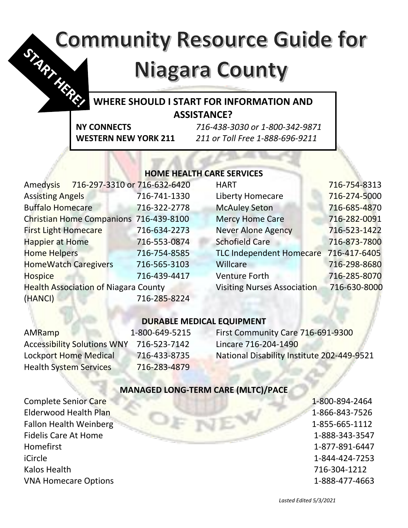# **Community Resource Guide for** S. M. Hills

# **Niagara County**

# **WHERE SHOULD I START FOR INFORMATION AND ASSISTANCE?**

**NY CONNECTS** *716-438-3030 or 1-800-342-9871* **WESTERN NEW YORK 211** *211 or Toll Free 1-888-696-9211*

# **HOME HEALTH CARE SERVICES**

| <b>Amedysis</b>                             | 716-297-3310 or 716-632-6420 |              | <b>HART</b>                           | 716-754-8313 |
|---------------------------------------------|------------------------------|--------------|---------------------------------------|--------------|
| <b>Assisting Angels</b>                     |                              | 716-741-1330 | <b>Liberty Homecare</b>               | 716-274-5000 |
| <b>Buffalo Homecare</b>                     |                              | 716-322-2778 | <b>McAuley Seton</b>                  | 716-685-4870 |
| Christian Home Companions 716-439-8100      |                              |              | <b>Mercy Home Care</b>                | 716-282-0091 |
| <b>First Light Homecare</b>                 |                              | 716-634-2273 | <b>Never Alone Agency</b>             | 716-523-1422 |
| <b>Happier at Home</b>                      |                              | 716-553-0874 | <b>Schofield Care</b>                 | 716-873-7800 |
| <b>Home Helpers</b>                         |                              | 716-754-8585 | TLC Independent Homecare 716-417-6405 |              |
| <b>HomeWatch Caregivers</b>                 |                              | 716-565-3103 | Willcare                              | 716-298-8680 |
| <b>Hospice</b>                              |                              | 716-439-4417 | <b>Venture Forth</b>                  | 716-285-8070 |
| <b>Health Association of Niagara County</b> |                              |              | <b>Visiting Nurses Association</b>    | 716-630-8000 |
| (HANCI)                                     |                              | 716-285-8224 |                                       |              |
|                                             |                              |              |                                       |              |

# **DURABLE MEDICAL EQUIPMENT**

| AMRamp                             | 1-800-649-5215 | First Community Care 716-691-9300          |
|------------------------------------|----------------|--------------------------------------------|
| <b>Accessibility Solutions WNY</b> | 716-523-7142   | Lincare 716-204-1490                       |
| <b>Lockport Home Medical</b>       | 716-433-8735   | National Disability Institute 202-449-9521 |
| <b>Health System Services</b>      | 716-283-4879   |                                            |

## **MANAGED LONG-TERM CARE (MLTC)/PACE**

Complete Senior Care 1-800-894-2464 Elderwood Health Plan 1-866-843-7526 Fallon Health Weinberg **1-855-665-1112** Fidelis Care At Home 1-888-343-3547 Homefirst 1-877-891-6447 iCircle 1-844-424-7253 Kalos Health 716-304-1212 VNA Homecare Options 1-888-477-4663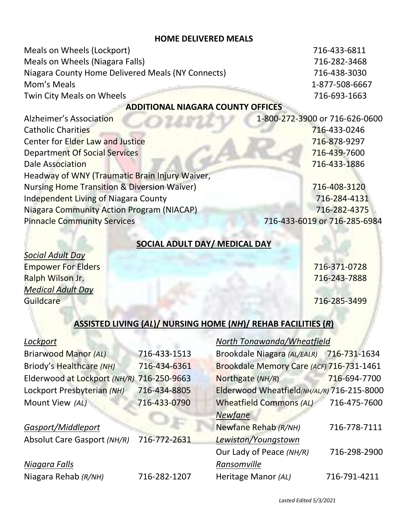#### **HOME DELIVERED MEALS**

| Meals on Wheels (Lockport)                        | 716-433-6811                   |  |  |
|---------------------------------------------------|--------------------------------|--|--|
| Meals on Wheels (Niagara Falls)                   | 716-282-3468                   |  |  |
| Niagara County Home Delivered Meals (NY Connects) | 716-438-3030                   |  |  |
| Mom's Meals                                       | 1-877-508-6667                 |  |  |
| Twin City Meals on Wheels                         | 716-693-1663                   |  |  |
| <b>ADDITIONAL NIAGARA COUNTY OFFICES</b>          |                                |  |  |
| Alzheimer's Association                           | 1-800-272-3900 or 716-626-0600 |  |  |
| <b>Catholic Charities</b>                         | 716-433-0246                   |  |  |
| Center for Elder Law and Justice                  | 716-878-9297                   |  |  |
|                                                   |                                |  |  |

Department Of Social Services **1999 120 Services** 716-439-7600 Dale Association 716-433-1886

Nursing Home Transition & Diversion Waiver) 716-408-3120 Independent Living of Niagara County 716-284-4131 Niagara Community Action Program (NIACAP) 716-282-4375 Pinnacle Community Services 716-433-6019 or 716-285-6984

#### **SOCIAL ADULT DAY/ MEDICAL DAY**

*Social Adult Day* Empower For Elders **Executive Contract Contract Contract Contract Contract Contract Contract Contract Contract Contract Contract Contract Contract Contract Contract Contract Contract Contract Contract Contract Contract Con** Ralph Wilson Jr. 716-243-7888 *Medical Adult Day* Guildcare 716-285-3499

## **ASSISTED LIVING (***AL***)/ NURSING HOME (***NH***)/ REHAB FACILITIES (***R***)**

#### *Lockport*

| <b>Briarwood Manor (AL)</b>               | 716-433-1513 |
|-------------------------------------------|--------------|
| Briody's Healthcare (NH)                  | 716-434-6361 |
| Elderwood at Lockport (NH/R) 716-250-9663 |              |
| Lockport Presbyterian (NH)                | 716-434-8805 |
| Mount View (AL)                           | 716-433-0790 |
|                                           |              |
| Gasport/Middleport                        |              |

Headway of WNY (Traumatic Brain Injury Waiver,

| Absolut Care Gasport (NH/R) | 716-772-2631 |
|-----------------------------|--------------|
|-----------------------------|--------------|

# *Niagara Falls*

| Niagara Rehab (R/NH) | 716-282-1207 |
|----------------------|--------------|
|                      |              |

#### *North Tonawanda/Wheatfield*

| Brookdale Niagara (AL/EALR)                | 716-731-1634 |
|--------------------------------------------|--------------|
| Brookdale Memory Care (ACF) 716-731-1461   |              |
| Northgate (NH/R)                           | 716-694-7700 |
| Elderwood Wheatfield(NH/AL/R) 716-215-8000 |              |
| <b>Wheatfield Commons (AL)</b>             | 716-475-7600 |
| <b>Newfane</b>                             |              |
| Newfane Rehab (R/NH)                       | 716-778-7111 |
| Lewiston/Youngstown                        |              |
| Our Lady of Peace (NH/R)                   | 716-298-2900 |
| Ransomville                                |              |
| Heritage Manor (AL)                        | 716-791-4211 |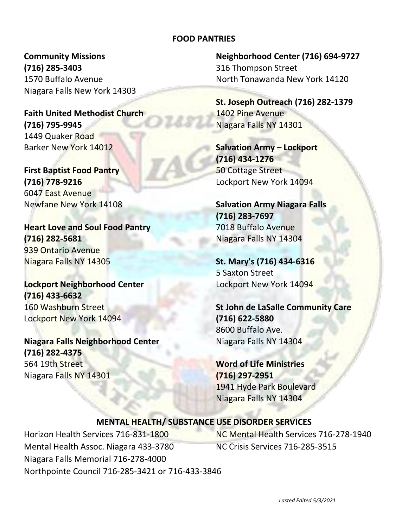#### **FOOD PANTRIES**

**Community Missions (716) 285-3403** 1570 Buffalo Avenue Niagara Falls New York 14303

**Faith United Methodist Church (716) 795-9945** 1449 Quaker Road Barker New York 14012

**First Baptist Food Pantry (716) 778-9216** 6047 East Avenue Newfane New York 14108

**Heart Love and Soul Food Pantry (716) 282-5681** 939 Ontario Avenue Niagara Falls NY 14305

**Lockport Neighborhood Center (716) 433-6632** 160 Washburn Street Lockport New York 14094

**Niagara Falls Neighborhood Center (716) 282-4375** 564 19th Street Niagara Falls NY 14301

**Neighborhood Center (716) 694-9727** 316 Thompson Street North Tonawanda New York 14120

**St. Joseph Outreach (716) 282-1379** 1402 Pine Avenue Niagara Falls NY 14301

**Salvation Army – Lockport (716) 434-1276** 50 Cottage Street Lockport New York 14094

**Salvation Army Niagara Falls (716) 283-7697** 7018 Buffalo Avenue Niagara Falls NY 14304

**St. Mary's (716) 434-6316** 5 Saxton Street Lockport New York 14094

**St John de LaSalle Community Care (716) 622-5880** 8600 Buffalo Ave. Niagara Falls NY 14304

**Word of Life Ministries (716) 297-2951** 1941 Hyde Park Boulevard Niagara Falls NY 14304

#### **MENTAL HEALTH/ SUBSTANCE USE DISORDER SERVICES**

Horizon Health Services 716-831-1800 Mental Health Assoc. Niagara 433-3780 Niagara Falls Memorial 716-278-4000 Northpointe Council 716-285-3421 or 716-433-3846

NC Mental Health Services 716-278-1940 NC Crisis Services 716-285-3515